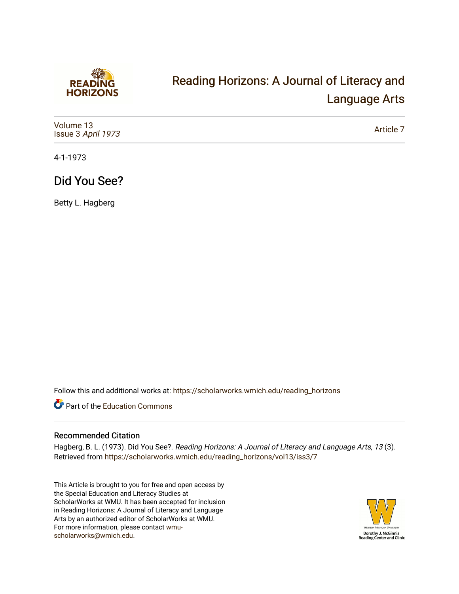

# [Reading Horizons: A Journal of Literacy and](https://scholarworks.wmich.edu/reading_horizons)  [Language Arts](https://scholarworks.wmich.edu/reading_horizons)

| Volume 13<br>Issue 3 April 1973 | Article 7 |
|---------------------------------|-----------|
|---------------------------------|-----------|

4-1-1973

## Did You See?

Betty L. Hagberg

Follow this and additional works at: [https://scholarworks.wmich.edu/reading\\_horizons](https://scholarworks.wmich.edu/reading_horizons?utm_source=scholarworks.wmich.edu%2Freading_horizons%2Fvol13%2Fiss3%2F7&utm_medium=PDF&utm_campaign=PDFCoverPages)

Part of the [Education Commons](http://network.bepress.com/hgg/discipline/784?utm_source=scholarworks.wmich.edu%2Freading_horizons%2Fvol13%2Fiss3%2F7&utm_medium=PDF&utm_campaign=PDFCoverPages)

#### Recommended Citation

Hagberg, B. L. (1973). Did You See?. Reading Horizons: A Journal of Literacy and Language Arts, 13 (3). Retrieved from [https://scholarworks.wmich.edu/reading\\_horizons/vol13/iss3/7](https://scholarworks.wmich.edu/reading_horizons/vol13/iss3/7?utm_source=scholarworks.wmich.edu%2Freading_horizons%2Fvol13%2Fiss3%2F7&utm_medium=PDF&utm_campaign=PDFCoverPages) 

This Article is brought to you for free and open access by the Special Education and Literacy Studies at ScholarWorks at WMU. It has been accepted for inclusion in Reading Horizons: A Journal of Literacy and Language Arts by an authorized editor of ScholarWorks at WMU. For more information, please contact [wmu](mailto:wmu-scholarworks@wmich.edu)[scholarworks@wmich.edu.](mailto:wmu-scholarworks@wmich.edu)